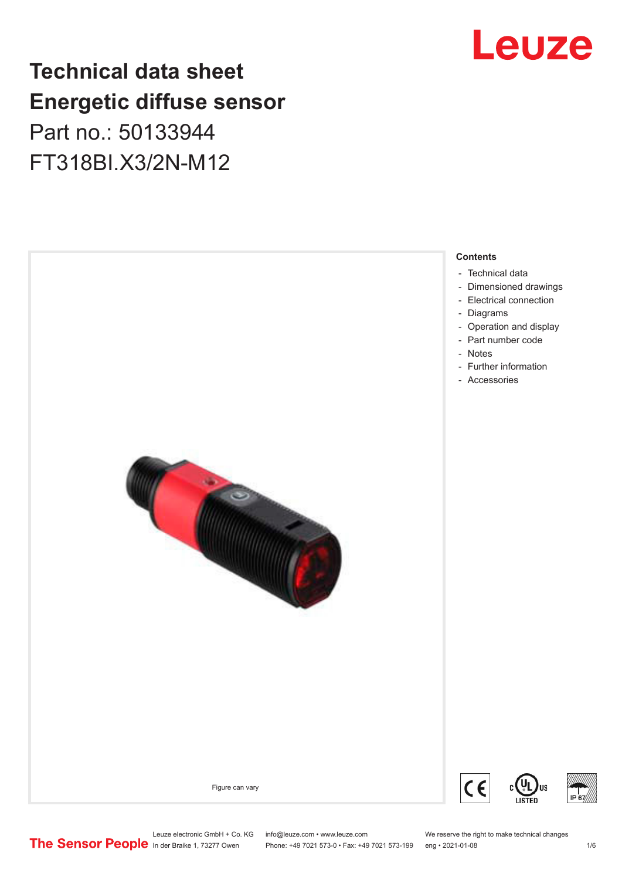## Leuze

## **Technical data sheet Energetic diffuse sensor**

Part no.: 50133944 FT318BI.X3/2N-M12



Leuze electronic GmbH + Co. KG info@leuze.com • www.leuze.com We reserve the right to make technical changes<br>
The Sensor People in der Braike 1, 73277 Owen Phone: +49 7021 573-0 • Fax: +49 7021 573-199 eng • 2021-01-08

Phone: +49 7021 573-0 • Fax: +49 7021 573-199 eng • 2021-01-08 10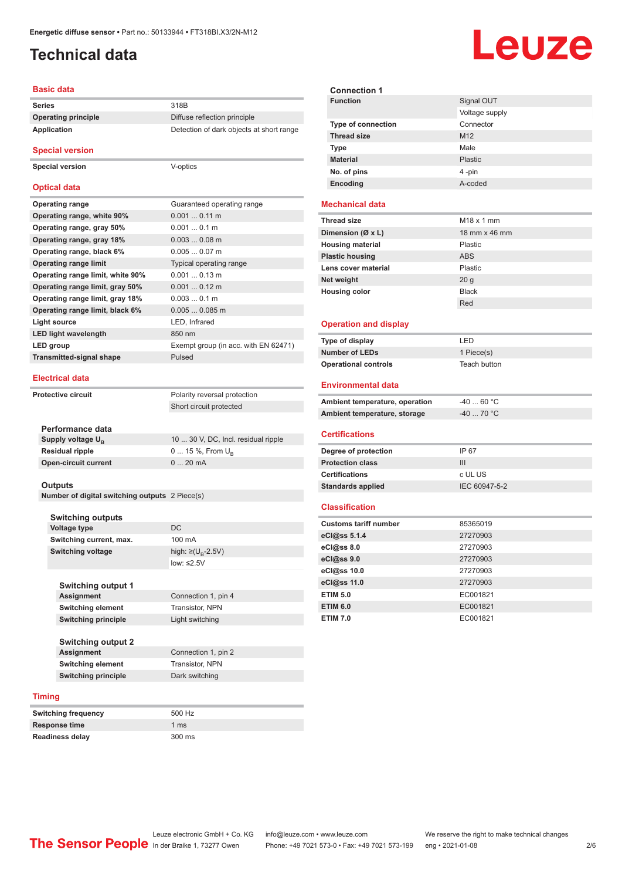## <span id="page-1-0"></span>**Technical data**

#### **Basic data**

| Series                     | 318 <sub>B</sub>                         |
|----------------------------|------------------------------------------|
| <b>Operating principle</b> | Diffuse reflection principle             |
| Application                | Detection of dark objects at short range |

#### **Special version**

**Special version** V-optics

#### **Optical data**

| <b>Operating range</b>           | Guaranteed operating range           |
|----------------------------------|--------------------------------------|
| Operating range, white 90%       | $0.0010.11$ m                        |
| Operating range, gray 50%        | 0.0010.1 m                           |
| Operating range, gray 18%        | $0.0030.08$ m                        |
| Operating range, black 6%        | $0.0050.07$ m                        |
| <b>Operating range limit</b>     | Typical operating range              |
| Operating range limit, white 90% | $0.0010.13$ m                        |
| Operating range limit, gray 50%  | $0.0010.12$ m                        |
| Operating range limit, gray 18%  | $0.0030.1$ m                         |
| Operating range limit, black 6%  | $0.0050.085$ m                       |
| Light source                     | LED, Infrared                        |
| <b>LED light wavelength</b>      | 850 nm                               |
| LED group                        | Exempt group (in acc. with EN 62471) |
| <b>Transmitted-signal shape</b>  | Pulsed                               |
|                                  |                                      |

#### **Electrical data**

**Protective circuit** Polarity reversal protection

Short circuit protected

| Performance data              |                                     |
|-------------------------------|-------------------------------------|
| Supply voltage U <sub>p</sub> | 10  30 V, DC, Incl. residual ripple |
| <b>Residual ripple</b>        | $0 15 \%$ , From $U_{p}$            |
| <b>Open-circuit current</b>   | $020$ mA                            |
|                               |                                     |

#### **Outputs**

**Number of digital switching outputs** 2 Piece(s)

|        | <b>Switching outputs</b>   |                                    |
|--------|----------------------------|------------------------------------|
|        | Voltage type               | DC                                 |
|        | Switching current, max.    | 100 mA                             |
|        | <b>Switching voltage</b>   | high: $\geq (U_{\text{B}} - 2.5V)$ |
|        |                            | low: $\leq 2.5V$                   |
|        |                            |                                    |
|        | <b>Switching output 1</b>  |                                    |
|        | <b>Assignment</b>          | Connection 1, pin 4                |
|        | <b>Switching element</b>   | Transistor, NPN                    |
|        | <b>Switching principle</b> | Light switching                    |
|        |                            |                                    |
|        | <b>Switching output 2</b>  |                                    |
|        | Assignment                 | Connection 1, pin 2                |
|        | <b>Switching element</b>   | Transistor, NPN                    |
|        | <b>Switching principle</b> | Dark switching                     |
|        |                            |                                    |
| Timing |                            |                                    |
|        | Switching frequency        | 500 Hz                             |

| <b>Switching frequency</b> | 500 Hz           |
|----------------------------|------------------|
| <b>Response time</b>       | 1 ms             |
| <b>Readiness delay</b>     | $300 \text{ ms}$ |

| <b>Connection 1</b>            |                        |
|--------------------------------|------------------------|
| <b>Function</b>                | Signal OUT             |
|                                | Voltage supply         |
| Type of connection             | Connector              |
| <b>Thread size</b>             | M <sub>12</sub>        |
| Type                           | Male                   |
| <b>Material</b>                | Plastic                |
| No. of pins                    | 4-pin                  |
| Encoding                       | A-coded                |
|                                |                        |
| <b>Mechanical data</b>         |                        |
| <b>Thread size</b>             | M <sub>18</sub> x 1 mm |
| Dimension ( $\emptyset$ x L)   | 18 mm x 46 mm          |
| <b>Housing material</b>        | Plastic                |
| <b>Plastic housing</b>         | <b>ABS</b>             |
| Lens cover material            | Plastic                |
| Net weight                     | 20 <sub>g</sub>        |
| <b>Housing color</b>           | <b>Black</b>           |
|                                | Red                    |
|                                |                        |
| <b>Operation and display</b>   |                        |
| Type of display                | LED                    |
| <b>Number of LEDs</b>          | 1 Piece(s)             |
|                                |                        |
| <b>Operational controls</b>    | Teach button           |
| <b>Environmental data</b>      |                        |
|                                |                        |
| Ambient temperature, operation | $-4060 °C$             |
| Ambient temperature, storage   | $-40$ 70 °C            |
| <b>Certifications</b>          |                        |
| Degree of protection           | IP 67                  |
| <b>Protection class</b>        | III                    |
| <b>Certifications</b>          | c UL US                |
| <b>Standards applied</b>       | IEC 60947-5-2          |
| <b>Classification</b>          |                        |
|                                |                        |
| <b>Customs tariff number</b>   | 85365019<br>27270903   |
| eCl@ss 5.1.4                   |                        |
| eCl@ss 8.0                     | 27270903               |
| eCl@ss 9.0                     | 27270903               |
| eCl@ss 10.0                    | 27270903               |
| eCl@ss 11.0                    | 27270903               |
| <b>ETIM 5.0</b>                | EC001821               |
| <b>ETIM 6.0</b>                | EC001821               |
| <b>ETIM 7.0</b>                | EC001821               |

# Leuze

Leuze electronic GmbH + Co. KG info@leuze.com • www.leuze.com We reserve the right to make technical changes<br>
The Sensor People in der Braike 1, 73277 Owen Phone: +49 7021 573-0 • Fax: +49 7021 573-199 eng • 2021-01-08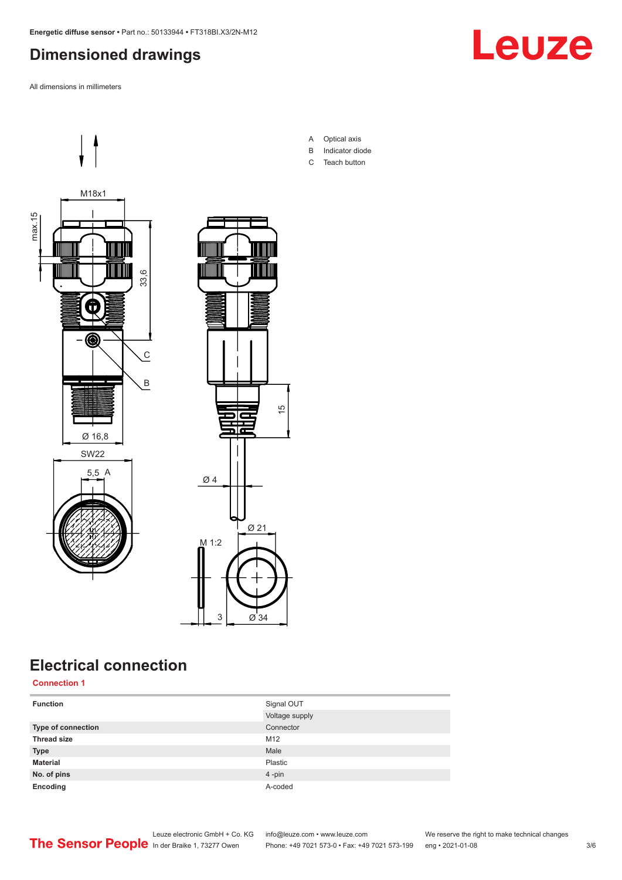## <span id="page-2-0"></span>**Dimensioned drawings**

All dimensions in millimeters





## **Electrical connection**

**Connection 1**

| <b>Function</b>    | Signal OUT     |
|--------------------|----------------|
|                    | Voltage supply |
| Type of connection | Connector      |
| <b>Thread size</b> | M12            |
| <b>Type</b>        | Male           |
| <b>Material</b>    | Plastic        |
| No. of pins        | 4-pin          |
| Encoding           | A-coded        |

A Optical axis

- B Indicator diode
- C Teach button

Leuze electronic GmbH + Co. KG info@leuze.com • www.leuze.com We reserve the right to make technical changes ln der Braike 1, 73277 Owen Phone: +49 7021 573-0 • Fax: +49 7021 573-199 eng • 2021-01-08 3/6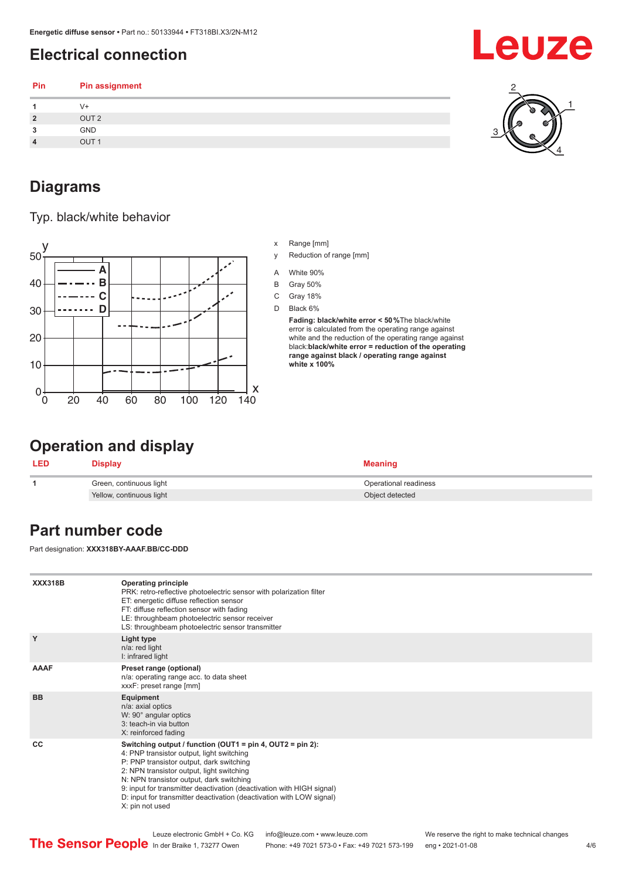## <span id="page-3-0"></span>**Electrical connection**

| Pin            | <b>Pin assignment</b> |  |
|----------------|-----------------------|--|
|                | V+                    |  |
| $\overline{2}$ | OUT <sub>2</sub>      |  |
| 3              | GND                   |  |
| $\overline{4}$ | OUT <sub>1</sub>      |  |
|                |                       |  |

#### **Diagrams**

Typ. black/white behavior



#### x Range [mm]

- y Reduction of range [mm]
- A White 90%
- B Gray 50%
- C Gray 18%
- D Black 6%

**Fading: black/white error < 50 %**The black/white error is calculated from the operating range against white and the reduction of the operating range against black:**black/white error = reduction of the operating range against black / operating range against white x 100%**

#### **Operation and display**

| <b>LED</b> | Display                  | Meaning               |
|------------|--------------------------|-----------------------|
|            | Green, continuous light  | Operational readiness |
|            | Yellow, continuous light | Object detected       |

### **Part number code**

Part designation: **XXX318BY-AAAF.BB/CC-DDD**

| <b>XXX318B</b> | <b>Operating principle</b><br>PRK: retro-reflective photoelectric sensor with polarization filter<br>ET: energetic diffuse reflection sensor<br>FT: diffuse reflection sensor with fading<br>LE: throughbeam photoelectric sensor receiver<br>LS: throughbeam photoelectric sensor transmitter                                                                                                                        |
|----------------|-----------------------------------------------------------------------------------------------------------------------------------------------------------------------------------------------------------------------------------------------------------------------------------------------------------------------------------------------------------------------------------------------------------------------|
| Y              | Light type<br>n/a: red light<br>I: infrared light                                                                                                                                                                                                                                                                                                                                                                     |
| <b>AAAF</b>    | Preset range (optional)<br>n/a: operating range acc. to data sheet<br>xxxF: preset range [mm]                                                                                                                                                                                                                                                                                                                         |
| <b>BB</b>      | Equipment<br>n/a: axial optics<br>W: 90° angular optics<br>3: teach-in via button<br>X: reinforced fading                                                                                                                                                                                                                                                                                                             |
| CC             | Switching output / function (OUT1 = $pin 4$ , OUT2 = $pin 2$ ):<br>4: PNP transistor output, light switching<br>P: PNP transistor output, dark switching<br>2: NPN transistor output, light switching<br>N: NPN transistor output, dark switching<br>9: input for transmitter deactivation (deactivation with HIGH signal)<br>D: input for transmitter deactivation (deactivation with LOW signal)<br>X: pin not used |



4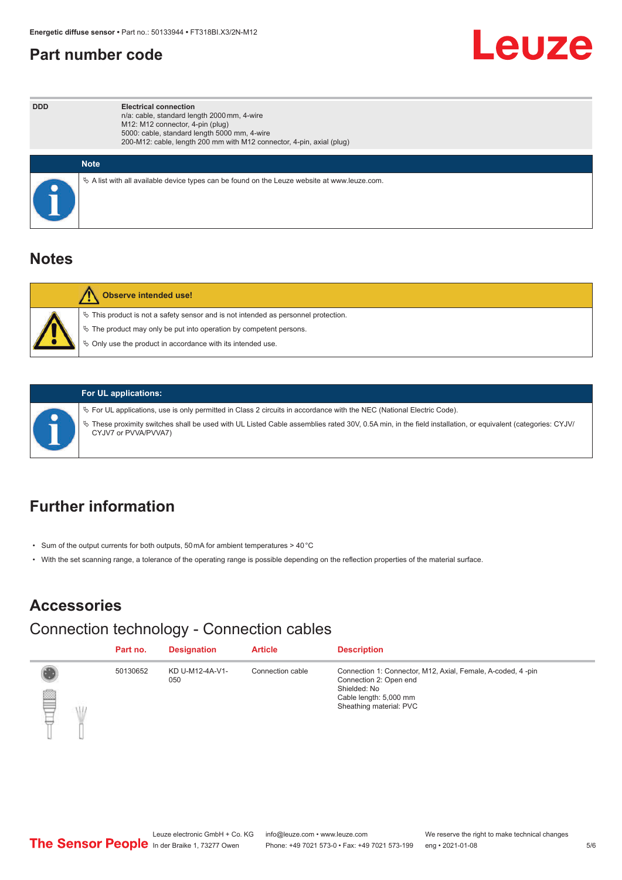#### <span id="page-4-0"></span>**Part number code**



| <b>DDD</b> | <b>Electrical connection</b><br>n/a: cable, standard length 2000 mm, 4-wire<br>M12: M12 connector, 4-pin (plug)<br>5000: cable, standard length 5000 mm, 4-wire<br>200-M12: cable, length 200 mm with M12 connector, 4-pin, axial (plug) |
|------------|------------------------------------------------------------------------------------------------------------------------------------------------------------------------------------------------------------------------------------------|
|            | <b>Note</b>                                                                                                                                                                                                                              |
|            | $\&$ A list with all available device types can be found on the Leuze website at www.leuze.com.                                                                                                                                          |

#### **Notes**

| <b>Observe intended use!</b>                                                                                                                                                                                                     |
|----------------------------------------------------------------------------------------------------------------------------------------------------------------------------------------------------------------------------------|
| $\%$ This product is not a safety sensor and is not intended as personnel protection.<br>$\&$ The product may only be put into operation by competent persons.<br>$\%$ Only use the product in accordance with its intended use. |

#### **For UL applications:**

ª For UL applications, use is only permitted in Class 2 circuits in accordance with the NEC (National Electric Code).

ª These proximity switches shall be used with UL Listed Cable assemblies rated 30V, 0.5A min, in the field installation, or equivalent (categories: CYJV/ CYJV7 or PVVA/PVVA7)

### **Further information**

- Sum of the output currents for both outputs, 50 mA for ambient temperatures > 40 °C
- With the set scanning range, a tolerance of the operating range is possible depending on the reflection properties of the material surface.

### **Accessories**

## Connection technology - Connection cables

|   | Part no. | <b>Designation</b>     | <b>Article</b>   | <b>Description</b>                                                                                                                                         |
|---|----------|------------------------|------------------|------------------------------------------------------------------------------------------------------------------------------------------------------------|
| ▌ | 50130652 | KD U-M12-4A-V1-<br>050 | Connection cable | Connection 1: Connector, M12, Axial, Female, A-coded, 4-pin<br>Connection 2: Open end<br>Shielded: No<br>Cable length: 5,000 mm<br>Sheathing material: PVC |